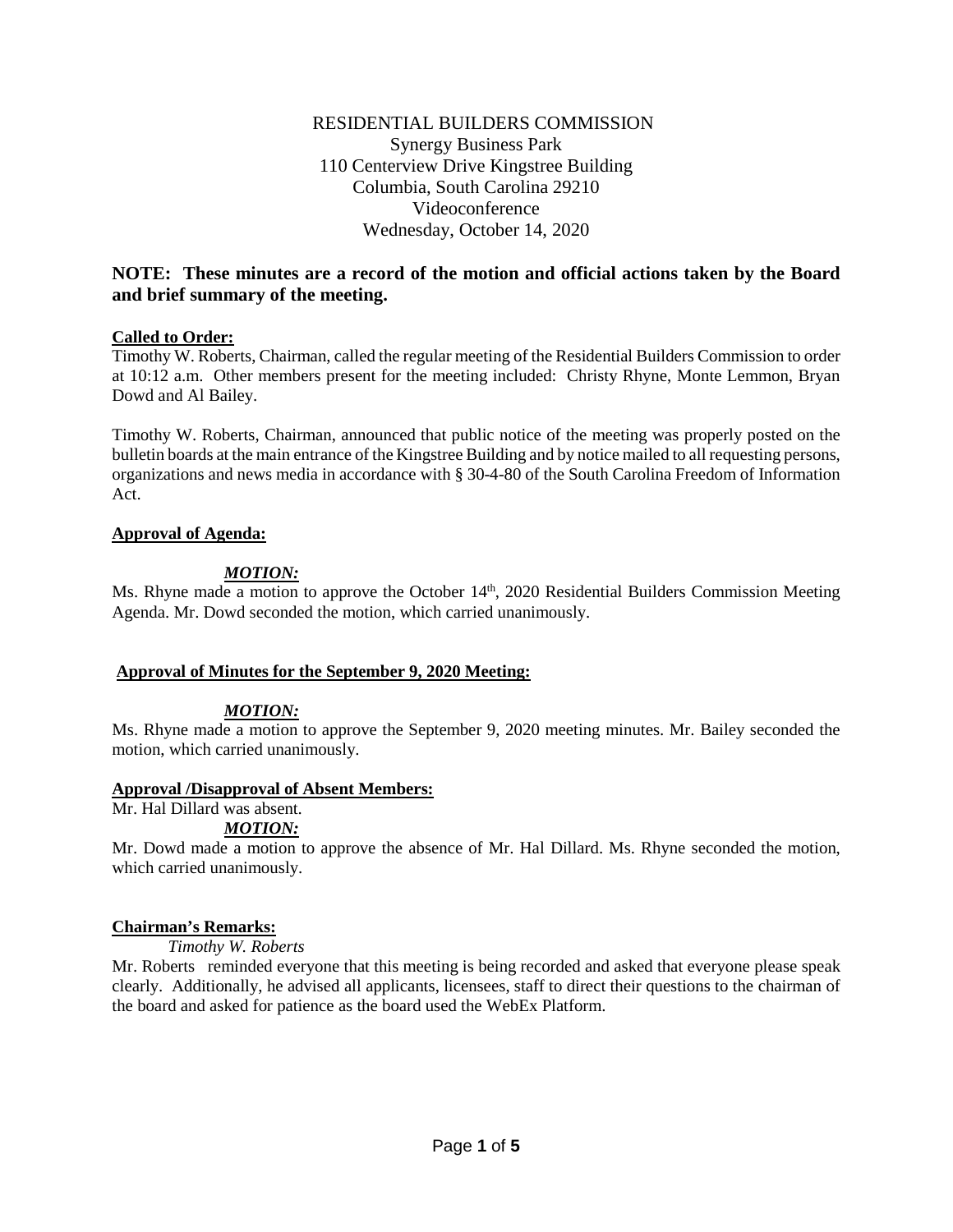# RESIDENTIAL BUILDERS COMMISSION Synergy Business Park 110 Centerview Drive Kingstree Building Columbia, South Carolina 29210 Videoconference Wednesday, October 14, 2020

# **NOTE: These minutes are a record of the motion and official actions taken by the Board and brief summary of the meeting.**

## **Called to Order:**

Timothy W. Roberts, Chairman, called the regular meeting of the Residential Builders Commission to order at 10:12 a.m. Other members present for the meeting included: Christy Rhyne, Monte Lemmon, Bryan Dowd and Al Bailey.

Timothy W. Roberts, Chairman, announced that public notice of the meeting was properly posted on the bulletin boards at the main entrance of the Kingstree Building and by notice mailed to all requesting persons, organizations and news media in accordance with § 30-4-80 of the South Carolina Freedom of Information Act.

## **Approval of Agenda:**

# *MOTION:*

Ms. Rhyne made a motion to approve the October 14<sup>th</sup>, 2020 Residential Builders Commission Meeting Agenda. Mr. Dowd seconded the motion, which carried unanimously.

# **Approval of Minutes for the September 9, 2020 Meeting:**

# *MOTION:*

Ms. Rhyne made a motion to approve the September 9, 2020 meeting minutes. Mr. Bailey seconded the motion, which carried unanimously.

## **Approval /Disapproval of Absent Members:**

Mr. Hal Dillard was absent.

# *MOTION:*

Mr. Dowd made a motion to approve the absence of Mr. Hal Dillard. Ms. Rhyne seconded the motion, which carried unanimously.

# **Chairman's Remarks:**

*Timothy W. Roberts*

Mr. Roberts reminded everyone that this meeting is being recorded and asked that everyone please speak clearly. Additionally, he advised all applicants, licensees, staff to direct their questions to the chairman of the board and asked for patience as the board used the WebEx Platform.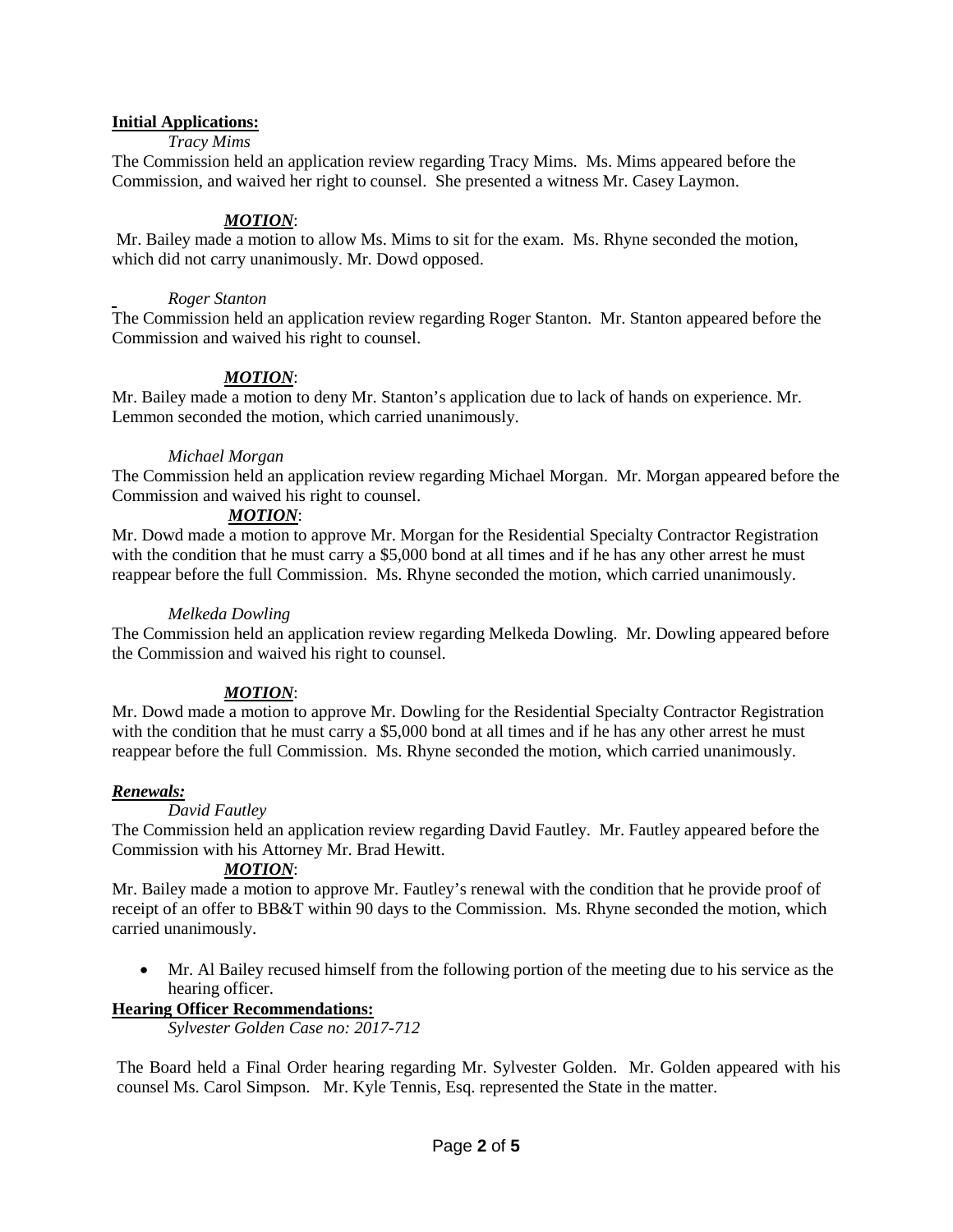## **Initial Applications:**

## *Tracy Mims*

The Commission held an application review regarding Tracy Mims. Ms. Mims appeared before the Commission, and waived her right to counsel. She presented a witness Mr. Casey Laymon.

## *MOTION*:

Mr. Bailey made a motion to allow Ms. Mims to sit for the exam. Ms. Rhyne seconded the motion, which did not carry unanimously. Mr. Dowd opposed.

## *Roger Stanton*

The Commission held an application review regarding Roger Stanton. Mr. Stanton appeared before the Commission and waived his right to counsel.

## *MOTION*:

Mr. Bailey made a motion to deny Mr. Stanton's application due to lack of hands on experience. Mr. Lemmon seconded the motion, which carried unanimously.

## *Michael Morgan*

The Commission held an application review regarding Michael Morgan. Mr. Morgan appeared before the Commission and waived his right to counsel.

## *MOTION*:

Mr. Dowd made a motion to approve Mr. Morgan for the Residential Specialty Contractor Registration with the condition that he must carry a \$5,000 bond at all times and if he has any other arrest he must reappear before the full Commission. Ms. Rhyne seconded the motion, which carried unanimously.

### *Melkeda Dowling*

The Commission held an application review regarding Melkeda Dowling. Mr. Dowling appeared before the Commission and waived his right to counsel.

# *MOTION*:

Mr. Dowd made a motion to approve Mr. Dowling for the Residential Specialty Contractor Registration with the condition that he must carry a \$5,000 bond at all times and if he has any other arrest he must reappear before the full Commission. Ms. Rhyne seconded the motion, which carried unanimously.

## *Renewals:*

## *David Fautley*

The Commission held an application review regarding David Fautley. Mr. Fautley appeared before the Commission with his Attorney Mr. Brad Hewitt.

## *MOTION*:

Mr. Bailey made a motion to approve Mr. Fautley's renewal with the condition that he provide proof of receipt of an offer to BB&T within 90 days to the Commission. Ms. Rhyne seconded the motion, which carried unanimously.

• Mr. Al Bailey recused himself from the following portion of the meeting due to his service as the hearing officer.

## **Hearing Officer Recommendations:**

*Sylvester Golden Case no: 2017-712*

The Board held a Final Order hearing regarding Mr. Sylvester Golden. Mr. Golden appeared with his counsel Ms. Carol Simpson. Mr. Kyle Tennis, Esq. represented the State in the matter.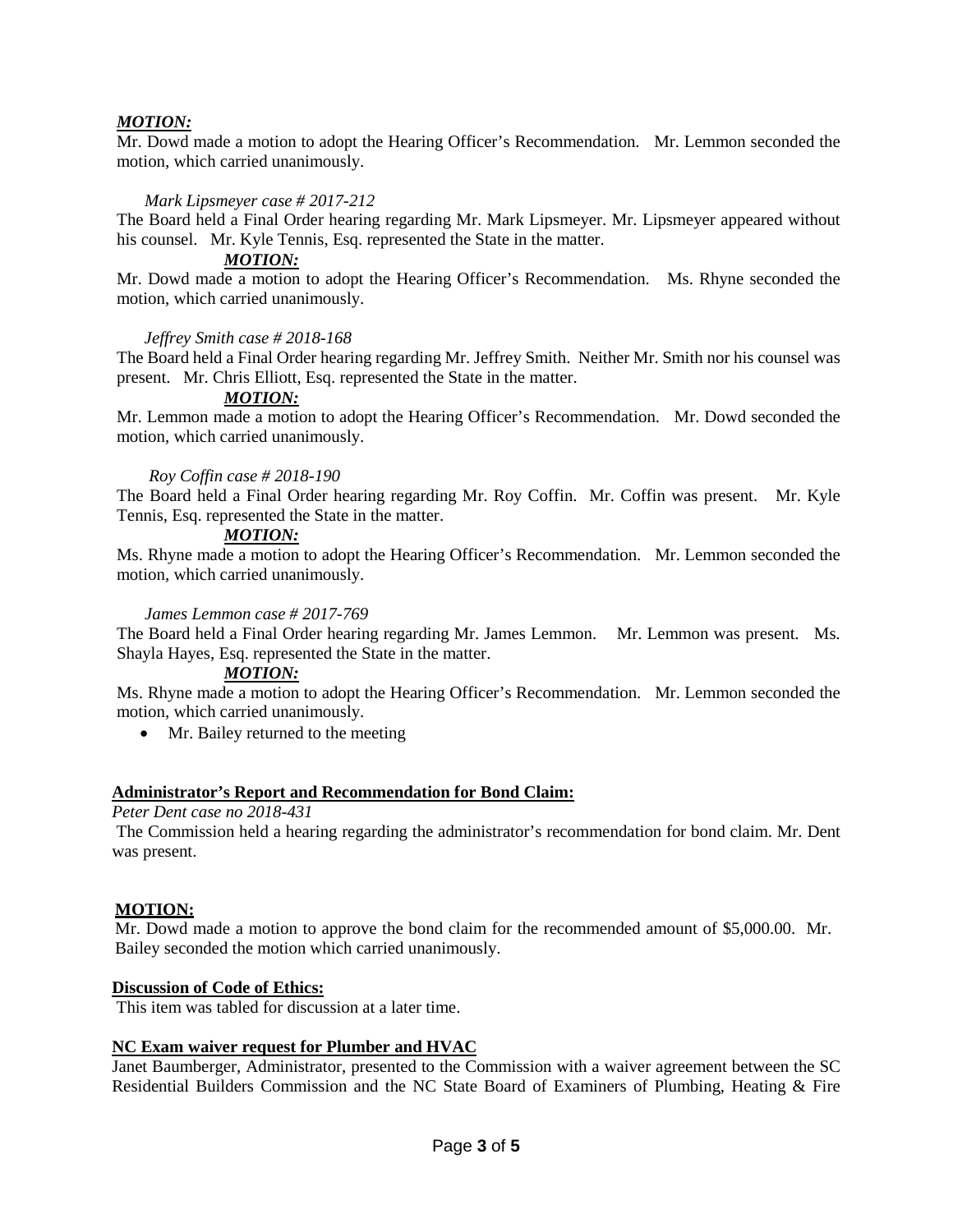## *MOTION:*

Mr. Dowd made a motion to adopt the Hearing Officer's Recommendation. Mr. Lemmon seconded the motion, which carried unanimously.

#### *Mark Lipsmeyer case # 2017-212*

The Board held a Final Order hearing regarding Mr. Mark Lipsmeyer. Mr. Lipsmeyer appeared without his counsel. Mr. Kyle Tennis, Esq. represented the State in the matter.

### *MOTION:*

Mr. Dowd made a motion to adopt the Hearing Officer's Recommendation. Ms. Rhyne seconded the motion, which carried unanimously.

#### *Jeffrey Smith case # 2018-168*

The Board held a Final Order hearing regarding Mr. Jeffrey Smith. Neither Mr. Smith nor his counsel was present. Mr. Chris Elliott, Esq. represented the State in the matter.

#### *MOTION:*

Mr. Lemmon made a motion to adopt the Hearing Officer's Recommendation. Mr. Dowd seconded the motion, which carried unanimously.

#### *Roy Coffin case # 2018-190*

The Board held a Final Order hearing regarding Mr. Roy Coffin. Mr. Coffin was present. Mr. Kyle Tennis, Esq. represented the State in the matter.

### *MOTION:*

Ms. Rhyne made a motion to adopt the Hearing Officer's Recommendation. Mr. Lemmon seconded the motion, which carried unanimously.

#### *James Lemmon case # 2017-769*

The Board held a Final Order hearing regarding Mr. James Lemmon. Mr. Lemmon was present. Ms. Shayla Hayes, Esq. represented the State in the matter.

#### *MOTION:*

Ms. Rhyne made a motion to adopt the Hearing Officer's Recommendation. Mr. Lemmon seconded the motion, which carried unanimously.

• Mr. Bailey returned to the meeting

## **Administrator's Report and Recommendation for Bond Claim:**

### *Peter Dent case no 2018-431*

The Commission held a hearing regarding the administrator's recommendation for bond claim. Mr. Dent was present.

## **MOTION:**

Mr. Dowd made a motion to approve the bond claim for the recommended amount of \$5,000.00. Mr. Bailey seconded the motion which carried unanimously.

#### **Discussion of Code of Ethics:**

This item was tabled for discussion at a later time.

## **NC Exam waiver request for Plumber and HVAC**

Janet Baumberger, Administrator, presented to the Commission with a waiver agreement between the SC Residential Builders Commission and the NC State Board of Examiners of Plumbing, Heating & Fire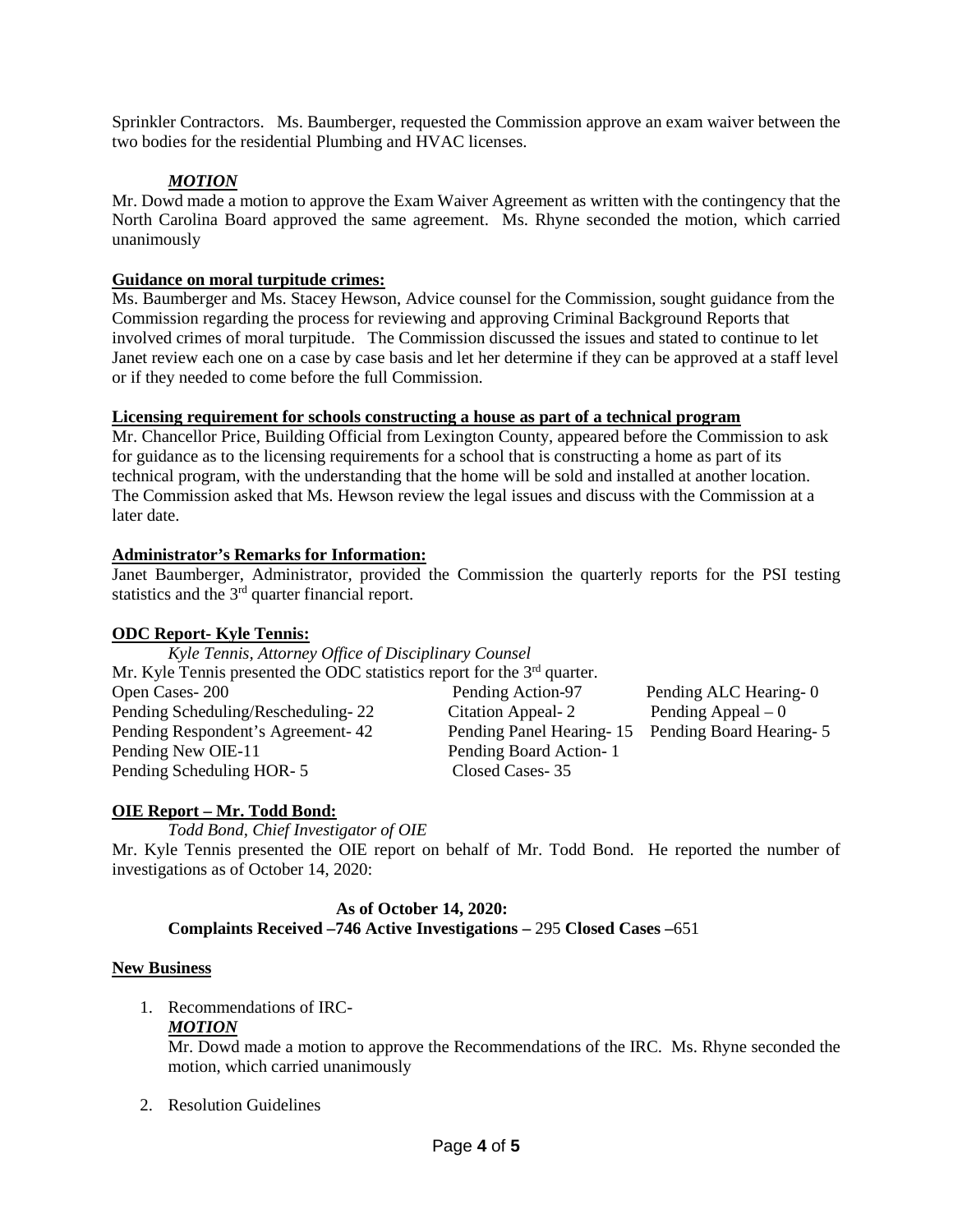Sprinkler Contractors. Ms. Baumberger, requested the Commission approve an exam waiver between the two bodies for the residential Plumbing and HVAC licenses.

# *MOTION*

Mr. Dowd made a motion to approve the Exam Waiver Agreement as written with the contingency that the North Carolina Board approved the same agreement. Ms. Rhyne seconded the motion, which carried unanimously

## **Guidance on moral turpitude crimes:**

Ms. Baumberger and Ms. Stacey Hewson, Advice counsel for the Commission, sought guidance from the Commission regarding the process for reviewing and approving Criminal Background Reports that involved crimes of moral turpitude. The Commission discussed the issues and stated to continue to let Janet review each one on a case by case basis and let her determine if they can be approved at a staff level or if they needed to come before the full Commission.

## **Licensing requirement for schools constructing a house as part of a technical program**

Mr. Chancellor Price, Building Official from Lexington County, appeared before the Commission to ask for guidance as to the licensing requirements for a school that is constructing a home as part of its technical program, with the understanding that the home will be sold and installed at another location. The Commission asked that Ms. Hewson review the legal issues and discuss with the Commission at a later date.

# **Administrator's Remarks for Information:**

Janet Baumberger, Administrator, provided the Commission the quarterly reports for the PSI testing statistics and the 3rd quarter financial report.

# **ODC Report- Kyle Tennis:**

*Kyle Tennis, Attorney Office of Disciplinary Counsel* Mr. Kyle Tennis presented the ODC statistics report for the 3<sup>rd</sup> quarter. Open Cases- 200 Pending Action-97 Pending ALC Hearing- 0 Pending Scheduling/Rescheduling- 22 Citation Appeal- 2 Pending Appeal – 0 Pending Respondent's Agreement- 42 Pending Panel Hearing- 15 Pending Board Hearing- 5 Pending New OIE-11 Pending Board Action- 1<br>
Pending Scheduling HOR-5 Closed Cases-35 Pending Scheduling HOR- 5

# **OIE Report – Mr. Todd Bond:**

*Todd Bond, Chief Investigator of OIE*

Mr. Kyle Tennis presented the OIE report on behalf of Mr. Todd Bond. He reported the number of investigations as of October 14, 2020:

#### **As of October 14, 2020: Complaints Received –746 Active Investigations –** 295 **Closed Cases –**651

## **New Business**

1. Recommendations of IRC-

## *MOTION*

Mr. Dowd made a motion to approve the Recommendations of the IRC. Ms. Rhyne seconded the motion, which carried unanimously

2. Resolution Guidelines